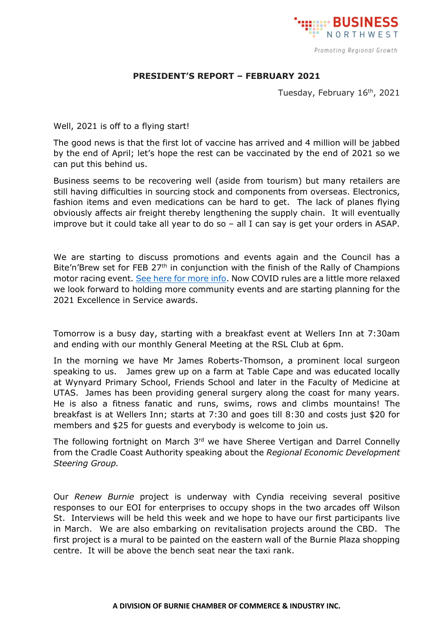

## **PRESIDENT'S REPORT – FEBRUARY 2021**

Tuesday, February 16<sup>th</sup>, 2021

Well, 2021 is off to a flying start!

The good news is that the first lot of vaccine has arrived and 4 million will be jabbed by the end of April; let's hope the rest can be vaccinated by the end of 2021 so we can put this behind us.

Business seems to be recovering well (aside from tourism) but many retailers are still having difficulties in sourcing stock and components from overseas. Electronics, fashion items and even medications can be hard to get. The lack of planes flying obviously affects air freight thereby lengthening the supply chain. It will eventually improve but it could take all year to do so – all I can say is get your orders in ASAP.

We are starting to discuss promotions and events again and the Council has a Bite'n'Brew set for FEB 27<sup>th</sup> in conjunction with the finish of the Rally of Champions motor racing event. [See here for more info.](https://www.burnie.net/Explore/Things-To-Do/Whats-On-Events/2021/Burnie-Bite-and-Brew) Now COVID rules are a little more relaxed we look forward to holding more community events and are starting planning for the 2021 Excellence in Service awards.

Tomorrow is a busy day, starting with a breakfast event at Wellers Inn at 7:30am and ending with our monthly General Meeting at the RSL Club at 6pm.

In the morning we have Mr James Roberts-Thomson, a prominent local surgeon speaking to us. James grew up on a farm at Table Cape and was educated locally at Wynyard Primary School, Friends School and later in the Faculty of Medicine at UTAS. James has been providing general surgery along the coast for many years. He is also a fitness fanatic and runs, swims, rows and climbs mountains! The breakfast is at Wellers Inn; starts at 7:30 and goes till 8:30 and costs just \$20 for members and \$25 for guests and everybody is welcome to join us.

The following fortnight on March 3<sup>rd</sup> we have Sheree Vertigan and Darrel Connelly from the Cradle Coast Authority speaking about the *Regional Economic Development Steering Group.*

Our *Renew Burnie* project is underway with Cyndia receiving several positive responses to our EOI for enterprises to occupy shops in the two arcades off Wilson St. Interviews will be held this week and we hope to have our first participants live in March. We are also embarking on revitalisation projects around the CBD. The first project is a mural to be painted on the eastern wall of the Burnie Plaza shopping centre. It will be above the bench seat near the taxi rank.